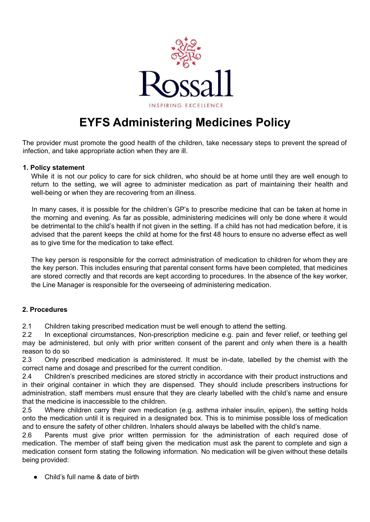

# **EYFS Administering Medicines Policy**

The provider must promote the good health of the children, take necessary steps to prevent the spread of infection, and take appropriate action when they are ill.

#### **1. Policy statement**

While it is not our policy to care for sick children, who should be at home until they are well enough to return to the setting, we will agree to administer medication as part of maintaining their health and well-being or when they are recovering from an illness.

In many cases, it is possible for the children's GP's to prescribe medicine that can be taken at home in the morning and evening. As far as possible, administering medicines will only be done where it would be detrimental to the child's health if not given in the setting. If a child has not had medication before, it is advised that the parent keeps the child at home for the first 48 hours to ensure no adverse effect as well as to give time for the medication to take effect.

The key person is responsible for the correct administration of medication to children for whom they are the key person. This includes ensuring that parental consent forms have been completed, that medicines are stored correctly and that records are kept according to procedures. In the absence of the key worker, the Line Manager is responsible for the overseeing of administering medication.

## **2. Procedures**

2.1 Children taking prescribed medication must be well enough to attend the setting.

2.2 In exceptional circumstances, Non-prescription medicine e.g. pain and fever relief, or teething gel may be administered, but only with prior written consent of the parent and only when there is a health reason to do so

2.3 Only prescribed medication is administered. It must be in-date, labelled by the chemist with the correct name and dosage and prescribed for the current condition.

2.4 Children's prescribed medicines are stored strictly in accordance with their product instructions and in their original container in which they are dispensed. They should include prescribers instructions for administration, staff members must ensure that they are clearly labelled with the child's name and ensure that the medicine is inaccessible to the children.

2.5 Where children carry their own medication (e.g. asthma inhaler insulin, epipen), the setting holds onto the medication until it is required in a designated box. This is to minimise possible loss of medication and to ensure the safety of other children. Inhalers should always be labelled with the child's name.

2.6 Parents must give prior written permission for the administration of each required dose of medication. The member of staff being given the medication must ask the parent to complete and sign a medication consent form stating the following information. No medication will be given without these details being provided:

Child's full name & date of birth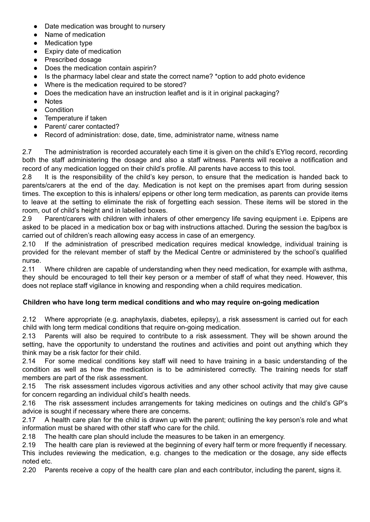- Date medication was brought to nursery
- Name of medication
- Medication type
- Expiry date of medication
- Prescribed dosage
- Does the medication contain aspirin?
- Is the pharmacy label clear and state the correct name? \*option to add photo evidence
- Where is the medication required to be stored?
- Does the medication have an instruction leaflet and is it in original packaging?
- Notes
- Condition
- Temperature if taken
- Parent/ carer contacted?
- Record of administration: dose, date, time, administrator name, witness name

2.7 The administration is recorded accurately each time it is given on the child's EYlog record, recording both the staff administering the dosage and also a staff witness. Parents will receive a notification and record of any medication logged on their child's profile. All parents have access to this tool.

2.8 It is the responsibility of the child's key person, to ensure that the medication is handed back to parents/carers at the end of the day. Medication is not kept on the premises apart from during session times. The exception to this is inhalers/ epipens or other long term medication, as parents can provide items to leave at the setting to eliminate the risk of forgetting each session. These items will be stored in the room, out of child's height and in labelled boxes.

2.9 Parent/carers with children with inhalers of other emergency life saving equipment i.e. Epipens are asked to be placed in a medication box or bag with instructions attached. During the session the bag/box is carried out of children's reach allowing easy access in case of an emergency.

2.10 If the administration of prescribed medication requires medical knowledge, individual training is provided for the relevant member of staff by the Medical Centre or administered by the school's qualified nurse.

2.11 Where children are capable of understanding when they need medication, for example with asthma, they should be encouraged to tell their key person or a member of staff of what they need. However, this does not replace staff vigilance in knowing and responding when a child requires medication.

## **Children who have long term medical conditions and who may require on-going medication**

2.12 Where appropriate (e.g. anaphylaxis, diabetes, epilepsy), a risk assessment is carried out for each child with long term medical conditions that require on-going medication.

2.13 Parents will also be required to contribute to a risk assessment. They will be shown around the setting, have the opportunity to understand the routines and activities and point out anything which they think may be a risk factor for their child.

2.14 For some medical conditions key staff will need to have training in a basic understanding of the condition as well as how the medication is to be administered correctly. The training needs for staff members are part of the risk assessment.

2.15 The risk assessment includes vigorous activities and any other school activity that may give cause for concern regarding an individual child's health needs.

2.16 The risk assessment includes arrangements for taking medicines on outings and the child's GP's advice is sought if necessary where there are concerns.

2.17 A health care plan for the child is drawn up with the parent; outlining the key person's role and what information must be shared with other staff who care for the child.

2.18 The health care plan should include the measures to be taken in an emergency.

2.19 The health care plan is reviewed at the beginning of every half term or more frequently if necessary. This includes reviewing the medication, e.g. changes to the medication or the dosage, any side effects noted etc.

2.20 Parents receive a copy of the health care plan and each contributor, including the parent, signs it.